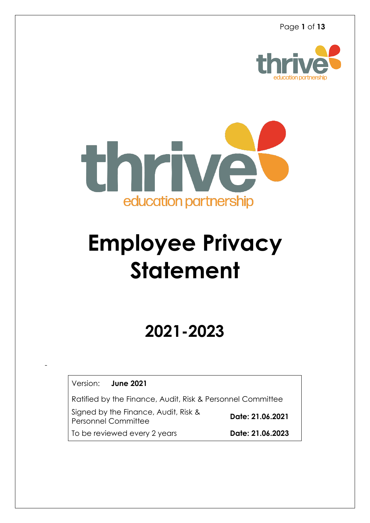



# **Employee Privacy Statement**

# **2021-2023**

Version: **June 2021**

-

Ratified by the Finance, Audit, Risk & Personnel Committee

Signed by the Finance, Audit, Risk & Personnel Committee

**Date: 21.06.2021**

To be reviewed every 2 years **Date: 21.06.2023**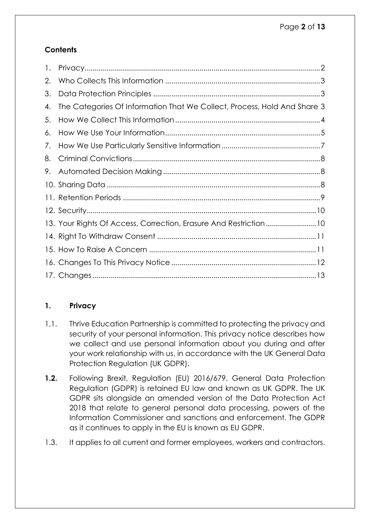# **Contents**

| $\mathbf{I}$ . |                                                                          |
|----------------|--------------------------------------------------------------------------|
| 2.             |                                                                          |
| 3.             |                                                                          |
| 4.             | The Categories Of Information That We Collect, Process, Hold And Share 3 |
| 5.             |                                                                          |
| 6.             |                                                                          |
| 7.             |                                                                          |
| 8.             |                                                                          |
| 9.             |                                                                          |
|                |                                                                          |
|                |                                                                          |
|                |                                                                          |
|                | 13. Your Rights Of Access, Correction, Erasure And Restriction10         |
|                |                                                                          |
|                |                                                                          |
|                |                                                                          |
|                |                                                                          |

## <span id="page-1-0"></span>**1. Privacy**

- 1.1. Thrive Education Partnership is committed to protecting the privacy and security of your personal information. This privacy notice describes how we collect and use personal information about you during and after your work relationship with us, in accordance with the UK General Data Protection Regulation (UK GDPR).
- **1.2.** Following Brexit, Regulation (EU) 2016/679, General Data Protection Regulation (GDPR) is retained EU law and known as UK GDPR. The UK GDPR sits alongside an amended version of the Data Protection Act 2018 that relate to general personal data processing, powers of the Information Commissioner and sanctions and enforcement. The GDPR as it continues to apply in the EU is known as EU GDPR.
- 1.3. It applies to all current and former employees, workers and contractors.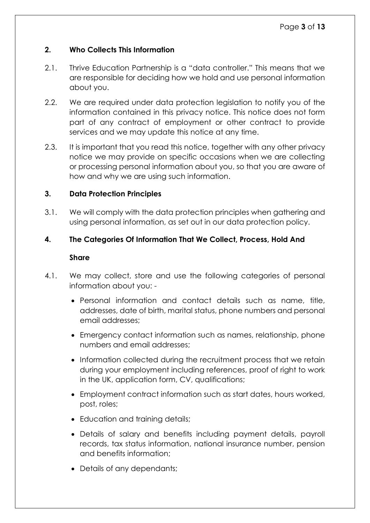#### <span id="page-2-0"></span>**2. Who Collects This Information**

- 2.1. Thrive Education Partnership is a "data controller." This means that we are responsible for deciding how we hold and use personal information about you.
- 2.2. We are required under data protection legislation to notify you of the information contained in this privacy notice. This notice does not form part of any contract of employment or other contract to provide services and we may update this notice at any time.
- 2.3. It is important that you read this notice, together with any other privacy notice we may provide on specific occasions when we are collecting or processing personal information about you, so that you are aware of how and why we are using such information.

#### <span id="page-2-1"></span>**3. Data Protection Principles**

3.1. We will comply with the data protection principles when gathering and using personal information, as set out in our data protection policy.

#### <span id="page-2-2"></span>**4. The Categories Of Information That We Collect, Process, Hold And**

#### **Share**

- 4.1. We may collect, store and use the following categories of personal information about you: -
	- Personal information and contact details such as name, title, addresses, date of birth, marital status, phone numbers and personal email addresses;
	- Emergency contact information such as names, relationship, phone numbers and email addresses;
	- Information collected during the recruitment process that we retain during your employment including references, proof of right to work in the UK, application form, CV, qualifications;
	- Employment contract information such as start dates, hours worked, post, roles;
	- Education and training details;
	- Details of salary and benefits including payment details, payroll records, tax status information, national insurance number, pension and benefits information;
	- Details of any dependants;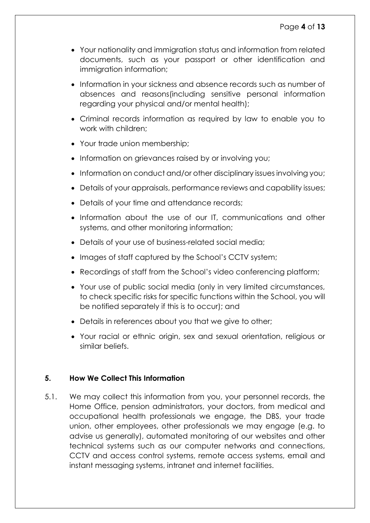- Your nationality and immigration status and information from related documents, such as your passport or other identification and immigration information;
- Information in your sickness and absence records such as number of absences and reasons(including sensitive personal information regarding your physical and/or mental health);
- Criminal records information as required by law to enable you to work with children;
- Your trade union membership;
- Information on grievances raised by or involving you;
- Information on conduct and/or other disciplinary issues involving you;
- Details of your appraisals, performance reviews and capability issues;
- Details of your time and attendance records;
- Information about the use of our IT, communications and other systems, and other monitoring information;
- Details of your use of business-related social media;
- Images of staff captured by the School's CCTV system;
- Recordings of staff from the School's video conferencing platform;
- Your use of public social media (only in very limited circumstances, to check specific risks for specific functions within the School, you will be notified separately if this is to occur); and
- Details in references about you that we give to other;
- Your racial or ethnic origin, sex and sexual orientation, religious or similar beliefs.

#### <span id="page-3-0"></span>**5. How We Collect This Information**

5.1. We may collect this information from you, your personnel records, the Home Office, pension administrators, your doctors, from medical and occupational health professionals we engage, the DBS, your trade union, other employees, other professionals we may engage (e.g. to advise us generally), automated monitoring of our websites and other technical systems such as our computer networks and connections, CCTV and access control systems, remote access systems, email and instant messaging systems, intranet and internet facilities.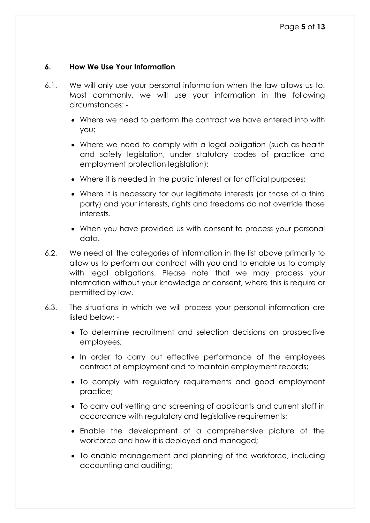#### <span id="page-4-0"></span>**6. How We Use Your Information**

- 6.1. We will only use your personal information when the law allows us to. Most commonly, we will use your information in the following circumstances: -
	- Where we need to perform the contract we have entered into with you;
	- Where we need to comply with a legal obligation (such as health and safety legislation, under statutory codes of practice and employment protection legislation);
	- Where it is needed in the public interest or for official purposes;
	- Where it is necessary for our legitimate interests (or those of a third party) and your interests, rights and freedoms do not override those interests.
	- When you have provided us with consent to process your personal data.
- 6.2. We need all the categories of information in the list above primarily to allow us to perform our contract with you and to enable us to comply with legal obligations. Please note that we may process your information without your knowledge or consent, where this is require or permitted by law.
- 6.3. The situations in which we will process your personal information are listed below: -
	- To determine recruitment and selection decisions on prospective employees;
	- In order to carry out effective performance of the employees contract of employment and to maintain employment records;
	- To comply with regulatory requirements and good employment practice;
	- To carry out vetting and screening of applicants and current staff in accordance with regulatory and legislative requirements;
	- Enable the development of a comprehensive picture of the workforce and how it is deployed and managed;
	- To enable management and planning of the workforce, including accounting and auditing;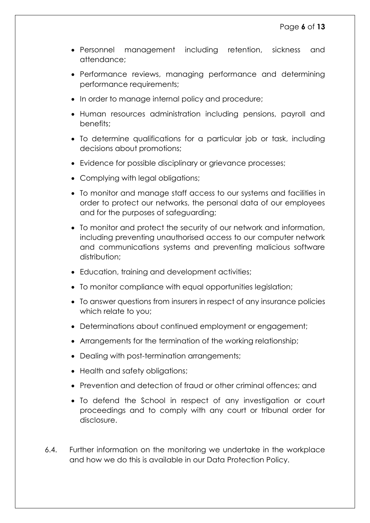- Personnel management including retention, sickness and attendance;
- Performance reviews, managing performance and determining performance requirements;
- In order to manage internal policy and procedure;
- Human resources administration including pensions, payroll and benefits;
- To determine qualifications for a particular job or task, including decisions about promotions;
- Evidence for possible disciplinary or grievance processes;
- Complying with legal obligations;
- To monitor and manage staff access to our systems and facilities in order to protect our networks, the personal data of our employees and for the purposes of safeguarding;
- To monitor and protect the security of our network and information, including preventing unauthorised access to our computer network and communications systems and preventing malicious software distribution:
- Education, training and development activities;
- To monitor compliance with equal opportunities legislation;
- To answer questions from insurers in respect of any insurance policies which relate to you;
- Determinations about continued employment or engagement;
- Arrangements for the termination of the working relationship;
- Dealing with post-termination arrangements;
- Health and safety obligations;
- Prevention and detection of fraud or other criminal offences; and
- To defend the School in respect of any investigation or court proceedings and to comply with any court or tribunal order for disclosure.
- 6.4. Further information on the monitoring we undertake in the workplace and how we do this is available in our Data Protection Policy.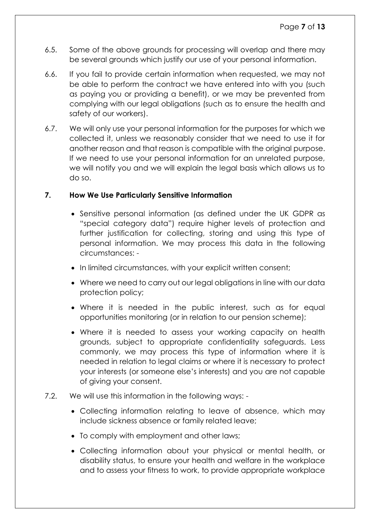- 6.5. Some of the above grounds for processing will overlap and there may be several grounds which justify our use of your personal information.
- 6.6. If you fail to provide certain information when requested, we may not be able to perform the contract we have entered into with you (such as paying you or providing a benefit), or we may be prevented from complying with our legal obligations (such as to ensure the health and safety of our workers).
- 6.7. We will only use your personal information for the purposes for which we collected it, unless we reasonably consider that we need to use it for another reason and that reason is compatible with the original purpose. If we need to use your personal information for an unrelated purpose, we will notify you and we will explain the legal basis which allows us to do so.

#### <span id="page-6-0"></span>**7. How We Use Particularly Sensitive Information**

- Sensitive personal information (as defined under the UK GDPR as "special category data") require higher levels of protection and further justification for collecting, storing and using this type of personal information. We may process this data in the following circumstances: -
- In limited circumstances, with your explicit written consent;
- Where we need to carry out our legal obligations in line with our data protection policy;
- Where it is needed in the public interest, such as for equal opportunities monitoring (or in relation to our pension scheme);
- Where it is needed to assess your working capacity on health grounds, subject to appropriate confidentiality safeguards. Less commonly, we may process this type of information where it is needed in relation to legal claims or where it is necessary to protect your interests (or someone else's interests) and you are not capable of giving your consent.
- 7.2. We will use this information in the following ways:
	- Collecting information relating to leave of absence, which may include sickness absence or family related leave;
	- To comply with employment and other laws;
	- Collecting information about your physical or mental health, or disability status, to ensure your health and welfare in the workplace and to assess your fitness to work, to provide appropriate workplace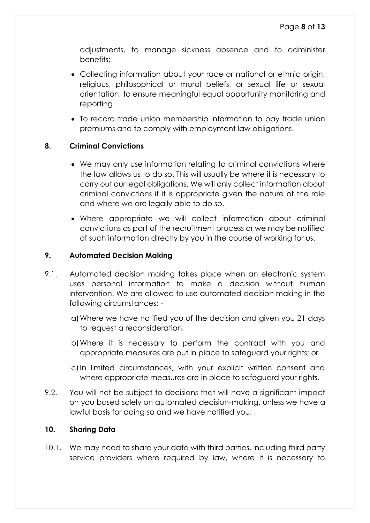adjustments, to manage sickness absence and to administer benefits;

- Collecting information about your race or national or ethnic origin, religious, philosophical or moral beliefs, or sexual life or sexual orientation, to ensure meaningful equal opportunity monitoring and reporting.
- To record trade union membership information to pay trade union premiums and to comply with employment law obligations.

#### <span id="page-7-0"></span>**8. Criminal Convictions**

- We may only use information relating to criminal convictions where the law allows us to do so. This will usually be where it is necessary to carry out our legal obligations. We will only collect information about criminal convictions if it is appropriate given the nature of the role and where we are legally able to do so.
- Where appropriate we will collect information about criminal convictions as part of the recruitment process or we may be notified of such information directly by you in the course of working for us.

#### <span id="page-7-1"></span>**9. Automated Decision Making**

- 9.1. Automated decision making takes place when an electronic system uses personal information to make a decision without human intervention. We are allowed to use automated decision making in the following circumstances:
	- a)Where we have notified you of the decision and given you 21 days to request a reconsideration;
	- b)Where it is necessary to perform the contract with you and appropriate measures are put in place to safeguard your rights; or
	- c) In limited circumstances, with your explicit written consent and where appropriate measures are in place to safeguard your rights.
- 9.2. You will not be subject to decisions that will have a significant impact on you based solely on automated decision-making, unless we have a lawful basis for doing so and we have notified you.

#### <span id="page-7-2"></span>**10. Sharing Data**

10.1. We may need to share your data with third parties, including third party service providers where required by law, where it is necessary to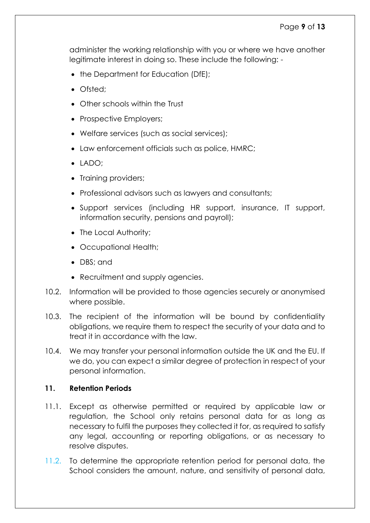administer the working relationship with you or where we have another legitimate interest in doing so. These include the following: -

- the Department for Education (DfE);
- Ofsted:
- Other schools within the Trust
- Prospective Employers;
- Welfare services (such as social services);
- Law enforcement officials such as police, HMRC;
- $\bullet$  LADO:
- Training providers;
- Professional advisors such as lawyers and consultants;
- Support services (including HR support, insurance, IT support, information security, pensions and payroll);
- The Local Authority;
- Occupational Health;
- DBS: and
- Recruitment and supply agencies.
- 10.2. Information will be provided to those agencies securely or anonymised where possible.
- 10.3. The recipient of the information will be bound by confidentiality obligations, we require them to respect the security of your data and to treat it in accordance with the law.
- 10.4. We may transfer your personal information outside the UK and the EU. If we do, you can expect a similar degree of protection in respect of your personal information.

#### <span id="page-8-0"></span>**11. Retention Periods**

- 11.1. Except as otherwise permitted or required by applicable law or regulation, the School only retains personal data for as long as necessary to fulfil the purposes they collected it for, as required to satisfy any legal, accounting or reporting obligations, or as necessary to resolve disputes.
- 11.2. To determine the appropriate retention period for personal data, the School considers the amount, nature, and sensitivity of personal data,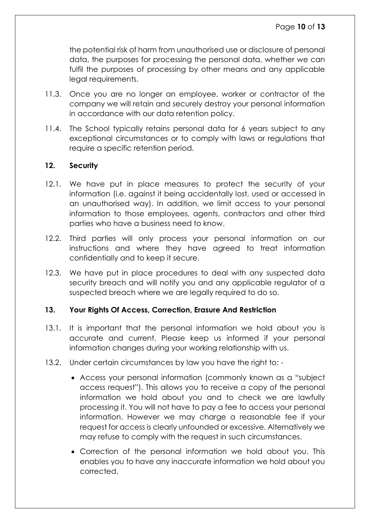the potential risk of harm from unauthorised use or disclosure of personal data, the purposes for processing the personal data, whether we can fulfil the purposes of processing by other means and any applicable legal requirements.

- 11.3. Once you are no longer an employee, worker or contractor of the company we will retain and securely destroy your personal information in accordance with our data retention policy.
- 11.4. The School typically retains personal data for 6 years subject to any exceptional circumstances or to comply with laws or regulations that require a specific retention period.

#### <span id="page-9-0"></span>**12. Security**

- 12.1. We have put in place measures to protect the security of your information (i.e. against it being accidentally lost, used or accessed in an unauthorised way). In addition, we limit access to your personal information to those employees, agents, contractors and other third parties who have a business need to know.
- 12.2. Third parties will only process your personal information on our instructions and where they have agreed to treat information confidentially and to keep it secure.
- 12.3. We have put in place procedures to deal with any suspected data security breach and will notify you and any applicable regulator of a suspected breach where we are legally required to do so.

#### <span id="page-9-1"></span>**13. Your Rights Of Access, Correction, Erasure And Restriction**

- 13.1. It is important that the personal information we hold about you is accurate and current. Please keep us informed if your personal information changes during your working relationship with us.
- 13.2. Under certain circumstances by law you have the right to:
	- Access your personal information (commonly known as a "subject access request"). This allows you to receive a copy of the personal information we hold about you and to check we are lawfully processing it. You will not have to pay a fee to access your personal information. However we may charge a reasonable fee if your request for access is clearly unfounded or excessive. Alternatively we may refuse to comply with the request in such circumstances.
	- Correction of the personal information we hold about you. This enables you to have any inaccurate information we hold about you corrected.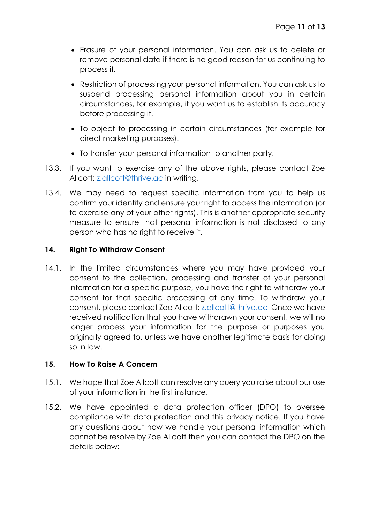- Erasure of your personal information. You can ask us to delete or remove personal data if there is no good reason for us continuing to process it.
- Restriction of processing your personal information. You can ask us to suspend processing personal information about you in certain circumstances, for example, if you want us to establish its accuracy before processing it.
- To object to processing in certain circumstances (for example for direct marketing purposes).
- To transfer your personal information to another party.
- 13.3. If you want to exercise any of the above rights, please contact Zoe Allcott: [z.allcott@thrive.ac](mailto:z.allcott@thrive.ac) in writing.
- 13.4. We may need to request specific information from you to help us confirm your identity and ensure your right to access the information (or to exercise any of your other rights). This is another appropriate security measure to ensure that personal information is not disclosed to any person who has no right to receive it.

#### <span id="page-10-0"></span>**14. Right To Withdraw Consent**

14.1. In the limited circumstances where you may have provided your consent to the collection, processing and transfer of your personal information for a specific purpose, you have the right to withdraw your consent for that specific processing at any time. To withdraw your consent, please contact Zoe Allcott: [z.allcott@thrive.ac](mailto:z.allcott@thrive.ac) Once we have received notification that you have withdrawn your consent, we will no longer process your information for the purpose or purposes you originally agreed to, unless we have another legitimate basis for doing so in law.

#### <span id="page-10-1"></span>**15. How To Raise A Concern**

- 15.1. We hope that Zoe Allcott can resolve any query you raise about our use of your information in the first instance.
- 15.2. We have appointed a data protection officer (DPO) to oversee compliance with data protection and this privacy notice. If you have any questions about how we handle your personal information which cannot be resolve by Zoe Allcott then you can contact the DPO on the details below: -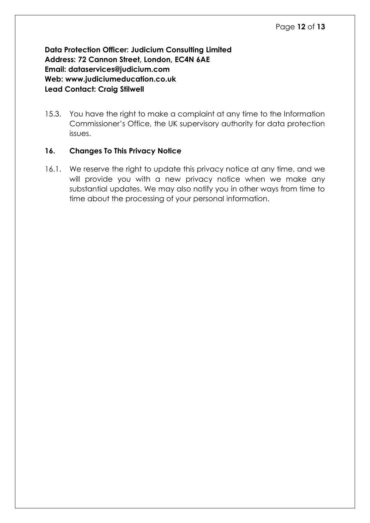**Data Protection Officer: Judicium Consulting Limited Address: 72 Cannon Street, London, EC4N 6AE Email: [dataservices@judicium.com](mailto:dataservices@judicium.com) Web: www.judiciumeducation.co.uk Lead Contact: Craig Stilwell** 

15.3. You have the right to make a complaint at any time to the Information Commissioner's Office, the UK supervisory authority for data protection issues.

#### <span id="page-11-0"></span>**16. Changes To This Privacy Notice**

16.1. We reserve the right to update this privacy notice at any time, and we will provide you with a new privacy notice when we make any substantial updates. We may also notify you in other ways from time to time about the processing of your personal information.